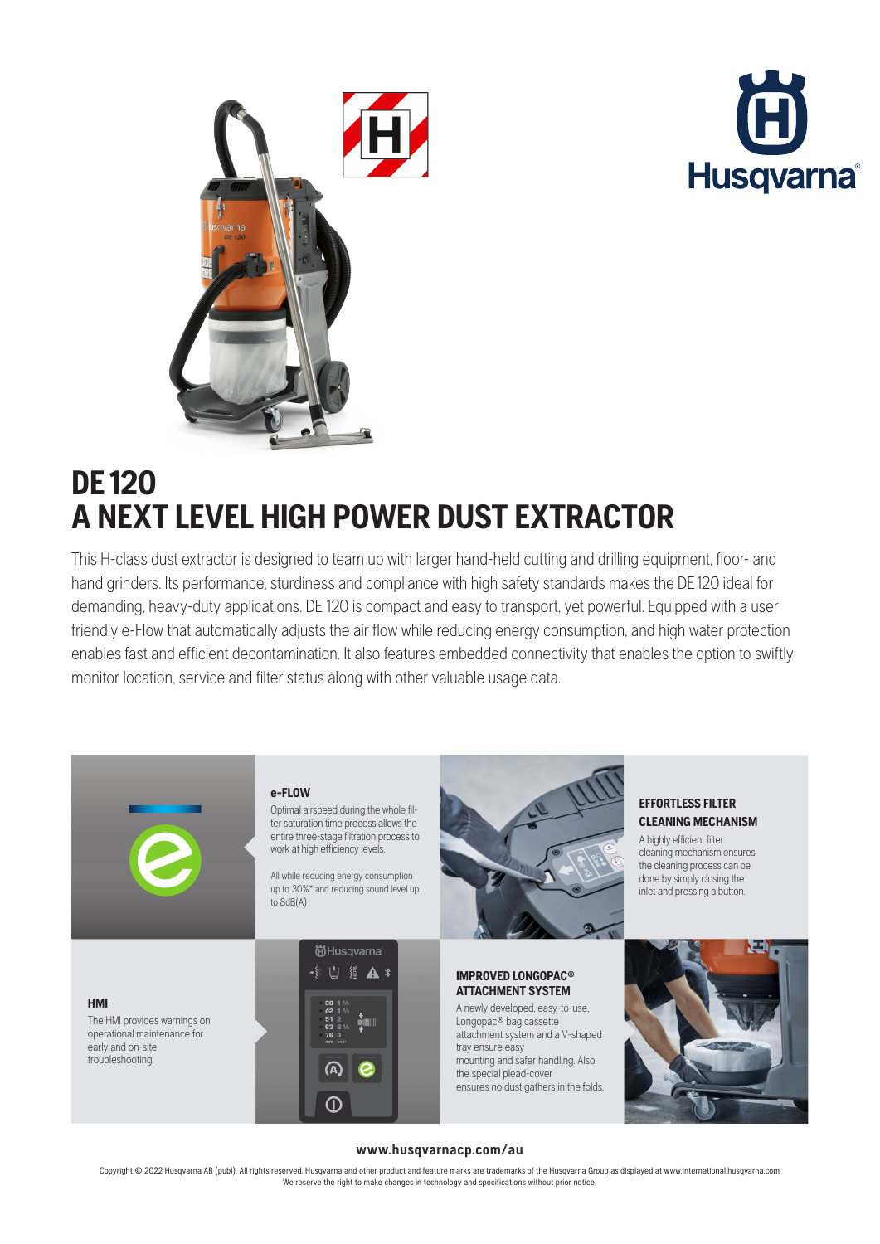



# **DE120 A NEXT LEVEL HIGH POWER DUST EXTRACTOR**

This H-class dust extractor is designed to team up with larger hand-held cutting and drilling equipment, floor- and hand grinders. Its performance, sturdiness and compliance with high safety standards makes the DE 120 ideal for demanding, heavy-duty applications. DE 120 is compact and easy to transport, yet powerful. Equipped with a user friendly e-Flow that automatically adjusts the air flow while reducing energy consumption, and high water protection enables fast and efficient decontamination. It also features embedded connectivity that enables the option to swiftly monitor location, service and filter status along with other valuable usage data.



Optimal airspeed during the whole filter saturation time process allows the entire three-stage filtration process to work at high efficiency levels.

All while reducing energy consumption up to 30%\* and reducing sound level up to 8dB(A)







#### **IMPROVED LONGOPAC® ATTACHMENT SYSTEM**

A newly developed, easy-to-use, Longopac<sup>®</sup> bag cassette attachment system and a V-shaped tray ensure easy mounting and safer handling. Also, the special plead-cover ensures no dust gathers in the folds.

# **EFFORTLESS FILTER CLEANING MECHANISM**

A highly efficient filter cleaning mechanism ensures the cleaning process can be done by simply closing the inlet and pressing a button.



### **www.husqvarnacp.com/au**

Copyright © 2022 Husqvarna AB (publ). All rights reserved. Husqvarna and other product and feature marks are trademarks of the Husqvarna Group as displayed at www.international.husqvarna.com We reserve the right to make changes in technology and specifications without prior notice.